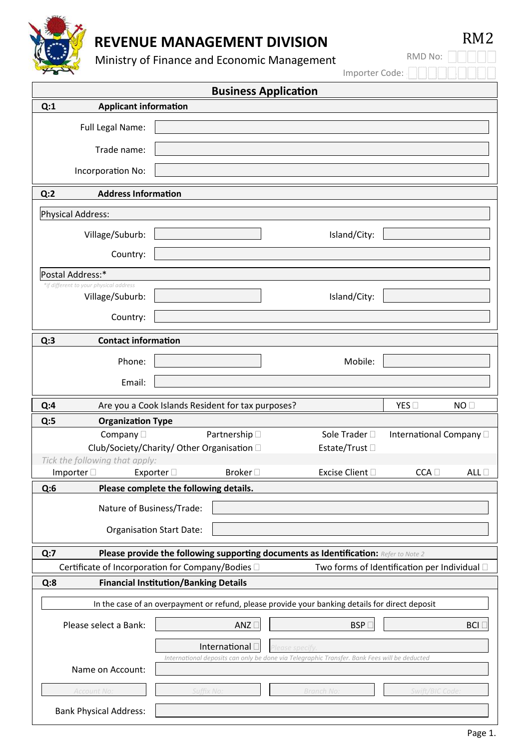

Ministry of Finance and Economic Management

| <b>Business Application</b>                              |                                                              |                          |                                                                                                 |                                              |  |
|----------------------------------------------------------|--------------------------------------------------------------|--------------------------|-------------------------------------------------------------------------------------------------|----------------------------------------------|--|
| <b>Applicant information</b><br>Q:1                      |                                                              |                          |                                                                                                 |                                              |  |
| Full Legal Name:                                         |                                                              |                          |                                                                                                 |                                              |  |
| Trade name:                                              |                                                              |                          |                                                                                                 |                                              |  |
| Incorporation No:                                        |                                                              |                          |                                                                                                 |                                              |  |
| <b>Address Information</b><br>Q:2                        |                                                              |                          |                                                                                                 |                                              |  |
| <b>Physical Address:</b>                                 |                                                              |                          |                                                                                                 |                                              |  |
| Village/Suburb:                                          |                                                              |                          | Island/City:                                                                                    |                                              |  |
| Country:                                                 |                                                              |                          |                                                                                                 |                                              |  |
| Postal Address:*                                         |                                                              |                          |                                                                                                 |                                              |  |
| *if different to your physical address                   |                                                              |                          |                                                                                                 |                                              |  |
| Village/Suburb:                                          |                                                              |                          | Island/City:                                                                                    |                                              |  |
| Country:                                                 |                                                              |                          |                                                                                                 |                                              |  |
| <b>Contact information</b><br>Q:3                        |                                                              |                          |                                                                                                 |                                              |  |
| Phone:                                                   |                                                              |                          | Mobile:                                                                                         |                                              |  |
| Email:                                                   |                                                              |                          |                                                                                                 |                                              |  |
| Q:4                                                      | Are you a Cook Islands Resident for tax purposes?            |                          |                                                                                                 | YES<br>NO <sub>1</sub>                       |  |
| Q:5<br><b>Organization Type</b>                          |                                                              |                          |                                                                                                 |                                              |  |
| Company $\square$                                        |                                                              | Partnership <sup>1</sup> | Sole Trader $\square$                                                                           | International Company                        |  |
|                                                          | Club/Society/Charity/ Other Organisation D<br>Estate/Trust □ |                          |                                                                                                 |                                              |  |
| Tick the following that apply:                           |                                                              |                          |                                                                                                 |                                              |  |
| Importer $\square$                                       | Exporter $\Box$                                              | Broker <sub>[1]</sub>    | Excise Client D                                                                                 | CCA<br>ALL $\Box$                            |  |
| Q:6                                                      | Please complete the following details.                       |                          |                                                                                                 |                                              |  |
|                                                          | Nature of Business/Trade:                                    |                          |                                                                                                 |                                              |  |
|                                                          | <b>Organisation Start Date:</b>                              |                          |                                                                                                 |                                              |  |
|                                                          |                                                              |                          |                                                                                                 |                                              |  |
| Q:7<br>Certificate of Incorporation for Company/Bodies D |                                                              |                          | Please provide the following supporting documents as Identification: Refer to Note 2            | Two forms of Identification per Individual D |  |
| Q:8                                                      | <b>Financial Institution/Banking Details</b>                 |                          |                                                                                                 |                                              |  |
|                                                          |                                                              |                          |                                                                                                 |                                              |  |
|                                                          |                                                              |                          | In the case of an overpayment or refund, please provide your banking details for direct deposit |                                              |  |
| Please select a Bank:                                    |                                                              | ANZ                      | <b>BSP</b>                                                                                      | <b>BCI</b> [                                 |  |
|                                                          |                                                              | International [          | Please specify                                                                                  |                                              |  |
| Name on Account:                                         |                                                              |                          | International deposits can only be done via Telegraphic Transfer. Bank Fees will be deducted    |                                              |  |
| Account No:                                              | Suffix No:                                                   |                          | Branch No:                                                                                      | Swift/BIC Code.                              |  |
| <b>Bank Physical Address:</b>                            |                                                              |                          |                                                                                                 |                                              |  |

RM2

RMD No:

Importer Code: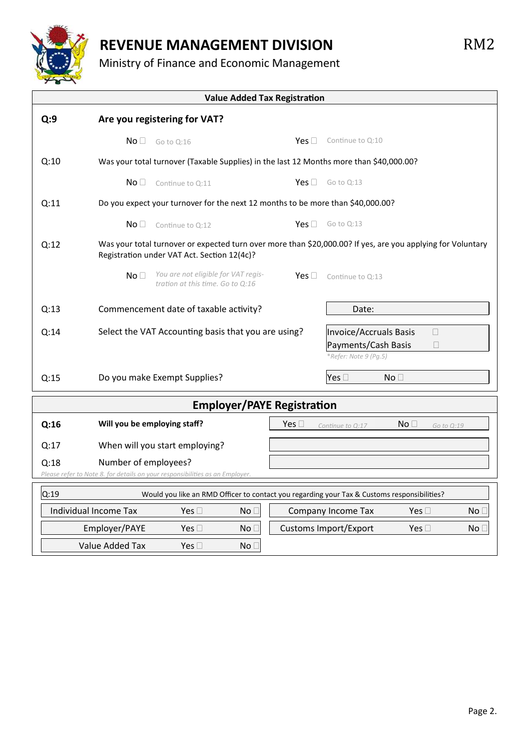

Ministry of Finance and Economic Management

**Value Added Tax Registration Q:9 Are you registering for VAT?**  $NO \Box$  Go to Q:16  $Ves \Box$  Continue to Q:10 Q:10 Was your total turnover (Taxable Supplies) in the last 12 Months more than \$40,000.00?  $NO \t\Box$  Continue to  $O:11$  Yes  $\Box$  Go to  $O:13$  Q:11 Do you expect your turnover for the next 12 months to be more than \$40,000.00?  $\mathsf{No} \square$  Continue to Q:12  $\mathsf{Yes} \square$  Go to Q:13 Q:12 Was your total turnover or expected turn over more than \$20,000.00? If yes, are you applying for Voluntary Registration under VAT Act. Section 12(4c)? No *You are not eligible for VAT registration at this time. Go to Q:16*  $Yes \Box$  Continue to Q:13 Q:13 Commencement date of taxable activity? Date: Q:14 Select the VAT Accounting basis that you are using?  $\blacksquare$  Invoice/Accruals Basis  $\blacksquare$  Payments/Cash Basis \**Refer: Note 9 (Pg.5)* Q:15 Do you make Exempt Supplies? Yes No **Employer/PAYE Registration Q:16 Will you be employing staff?**  $\blacksquare$  **Yes**  $\Box$  *Continue to Q:17* No  $\Box$  *Go to Q:19*  Q:17 When will you start employing? Q:18 Number of employees?  *Please refer to Note 8. for details on your responsibilities as an Employer.* Q:19 Would you like an RMD Officer to contact you regarding your Tax & Customs responsibilities? Individual Income Tax  $Yes \Box$  No  $\Box$  Company Income Tax Yes  $\Box$  No  $\Box$ Employer/PAYE Yes  $\Box$  No  $\Box$  Customs Import/Export Yes  $\Box$  No  $\Box$ 

Value Added Tax  $Yes \Box$  No  $\Box$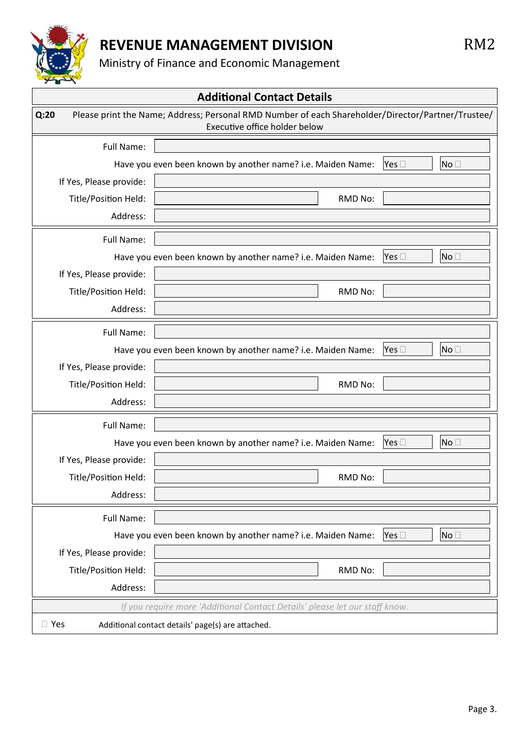

Ministry of Finance and Economic Management

**Additional Contact Details Q:20** Please print the Name; Address; Personal RMD Number of each Shareholder/Director/Partner/Trustee/ Executive office holder below Full Name: Have you even been known by another name? i.e. Maiden Name:  $\forall$ es  $\Box$  No  $\Box$  If Yes, Please provide: Title/Position Held: New York 1999 and The RMD No: Address: Full Name: Have you even been known by another name? i.e. Maiden Name:  $\left|\n\begin{array}{ccc}\n\text{Yes} & \text{else}\n\end{array}\right|$  No  $\Box$  If Yes, Please provide: Title/Position Held:  $\parallel$  and  $\parallel$  and  $\parallel$  and  $\parallel$  and  $\parallel$  and  $\parallel$  and  $\parallel$  and  $\parallel$  and  $\parallel$  and  $\parallel$  and  $\parallel$  and  $\parallel$  and  $\parallel$  and  $\parallel$  and  $\parallel$  and  $\parallel$  and  $\parallel$  and  $\parallel$  and  $\parallel$  and  $\parallel$  and  $\parallel$  and  $\parallel$  and  $\parallel$  Address: Full Name: Have you even been known by another name? i.e. Maiden Name:  $\forall$ es  $\Box$  | |No $\Box$  If Yes, Please provide: Title/Position Held:  $\parallel$  and the contract of the contract of the RMD No: Address: Full Name: Have you even been known by another name? i.e. Maiden Name:  $\left| \text{Yes } \Box \right|$   $\left| \text{No } \Box \right|$  If Yes, Please provide: Title/Position Held: RMD No: Address: Full Name: Have you even been known by another name? i.e. Maiden Name:  $\left| \text{Yes } \Box \right|$   $\left| \text{No } \Box \right|$  If Yes, Please provide: Title/Position Held: New York 1999 and The RMD No: Address: *If you require more 'Additional Contact Details' please let our staff know.*  $\Box$  Yes Additional contact details' page(s) are attached.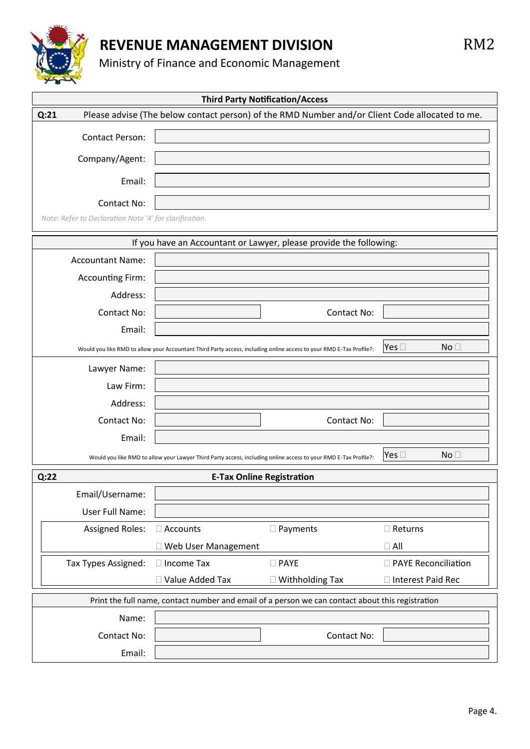

Ministry of Finance and Economic Management

| <b>Third Party Notification/Access</b>                 |                                                                                                                     |                                                                                                  |                                  |  |  |
|--------------------------------------------------------|---------------------------------------------------------------------------------------------------------------------|--------------------------------------------------------------------------------------------------|----------------------------------|--|--|
| Q:21                                                   |                                                                                                                     | Please advise (The below contact person) of the RMD Number and/or Client Code allocated to me.   |                                  |  |  |
| <b>Contact Person:</b>                                 |                                                                                                                     |                                                                                                  |                                  |  |  |
| Company/Agent:                                         |                                                                                                                     |                                                                                                  |                                  |  |  |
|                                                        |                                                                                                                     |                                                                                                  |                                  |  |  |
| Email:                                                 |                                                                                                                     |                                                                                                  |                                  |  |  |
| <b>Contact No:</b>                                     |                                                                                                                     |                                                                                                  |                                  |  |  |
| Note: Refer to Declaration Note '4' for clarification. |                                                                                                                     |                                                                                                  |                                  |  |  |
|                                                        |                                                                                                                     | If you have an Accountant or Lawyer, please provide the following:                               |                                  |  |  |
| <b>Accountant Name:</b>                                |                                                                                                                     |                                                                                                  |                                  |  |  |
| <b>Accounting Firm:</b>                                |                                                                                                                     |                                                                                                  |                                  |  |  |
| Address:                                               |                                                                                                                     |                                                                                                  |                                  |  |  |
| Contact No:                                            |                                                                                                                     | <b>Contact No:</b>                                                                               |                                  |  |  |
| Email:                                                 |                                                                                                                     |                                                                                                  |                                  |  |  |
|                                                        | Would you like RMD to allow your Accountant Third Party access, including online access to your RMD E-Tax Profile?: |                                                                                                  | Yes $\square$<br>No <sub>1</sub> |  |  |
| Lawyer Name:                                           |                                                                                                                     |                                                                                                  |                                  |  |  |
| Law Firm:                                              |                                                                                                                     |                                                                                                  |                                  |  |  |
| Address:                                               |                                                                                                                     |                                                                                                  |                                  |  |  |
| Contact No:                                            |                                                                                                                     | Contact No:                                                                                      |                                  |  |  |
| Email:                                                 |                                                                                                                     |                                                                                                  |                                  |  |  |
|                                                        | Would you like RMD to allow your Lawyer Third Party access, including online access to your RMD E-Tax Profile?:     |                                                                                                  | Yes $\square$<br>No <sub>1</sub> |  |  |
| Q:22<br><b>E-Tax Online Registration</b>               |                                                                                                                     |                                                                                                  |                                  |  |  |
| Email/Username:                                        |                                                                                                                     |                                                                                                  |                                  |  |  |
| User Full Name:                                        |                                                                                                                     |                                                                                                  |                                  |  |  |
| <b>Assigned Roles:</b>                                 | $\Box$ Accounts                                                                                                     | □ Payments                                                                                       | $\Box$ Returns                   |  |  |
|                                                        | □ Web User Management                                                                                               |                                                                                                  | $\Box$ All                       |  |  |
| Tax Types Assigned:                                    | $\Box$ Income Tax                                                                                                   | $\square$ PAYE                                                                                   | □ PAYE Reconciliation            |  |  |
|                                                        | □ Value Added Tax                                                                                                   | $\Box$ Withholding Tax                                                                           | □ Interest Paid Rec              |  |  |
|                                                        |                                                                                                                     | Print the full name, contact number and email of a person we can contact about this registration |                                  |  |  |
| Name:                                                  |                                                                                                                     |                                                                                                  |                                  |  |  |
| Contact No:                                            |                                                                                                                     | Contact No:                                                                                      |                                  |  |  |
| Email:                                                 |                                                                                                                     |                                                                                                  |                                  |  |  |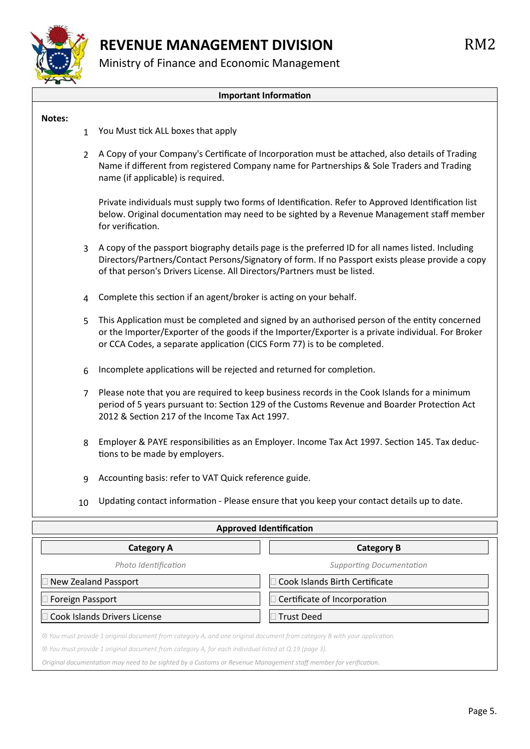

Ministry of Finance and Economic Management

#### **Important Information**

#### **Notes:**

- 1 You Must tick ALL boxes that apply
- 2 A Copy of your Company's Certificate of Incorporation must be attached, also details of Trading Name if different from registered Company name for Partnerships & Sole Traders and Trading name (if applicable) is required.

Private individuals must supply two forms of Identification. Refer to Approved Identification list below. Original documentation may need to be sighted by a Revenue Management staff member for verification.

- 3 A copy of the passport biography details page is the preferred ID for all names listed. Including Directors/Partners/Contact Persons/Signatory of form. If no Passport exists please provide a copy of that person's Drivers License. All Directors/Partners must be listed.
- 4 Complete this section if an agent/broker is acting on your behalf.
- 5 This Application must be completed and signed by an authorised person of the entity concerned or the Importer/Exporter of the goods if the Importer/Exporter is a private individual. For Broker or CCA Codes, a separate application (CICS Form 77) is to be completed.
- $6$  Incomplete applications will be rejected and returned for completion.
	- 7 Please note that you are required to keep business records in the Cook Islands for a minimum period of 5 years pursuant to: Section 129 of the Customs Revenue and Boarder Protection Act 2012 & Section 217 of the Income Tax Act 1997.
	- 8 Employer & PAYE responsibilities as an Employer. Income Tax Act 1997. Section 145. Tax deductions to be made by employers.
	- 9 Accounting basis: refer to VAT Quick reference guide.
	- 10 Updating contact information Please ensure that you keep your contact details up to date.

| <b>Approved Identification</b>                                                                                                   |                                 |  |  |  |
|----------------------------------------------------------------------------------------------------------------------------------|---------------------------------|--|--|--|
| <b>Category A</b>                                                                                                                | <b>Category B</b>               |  |  |  |
| Photo Identification                                                                                                             | <b>Supporting Documentation</b> |  |  |  |
| New Zealand Passport                                                                                                             | Cook Islands Birth Certificate  |  |  |  |
| Foreign Passport                                                                                                                 | Certificate of Incorporation    |  |  |  |
| Cook Islands Drivers License                                                                                                     | <b>Trust Deed</b>               |  |  |  |
| $\otimes$ You must provide 1 original document from category A, and one original document from category B with your application. |                                 |  |  |  |

*You must provide 1 original document from category A, for each individual listed at Q:19 (page 3).*

*Original documentation may need to be sighted by a Customs or Revenue Management staff member for verification.*